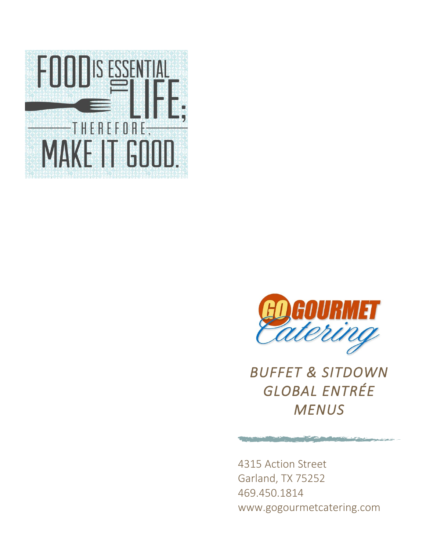



*BUFFET & SITDOWN GLOBAL ENTRÉE MENUS*

4315 Action Street Garland, TX 75252 469.450.1814 www.gogourmetcatering.com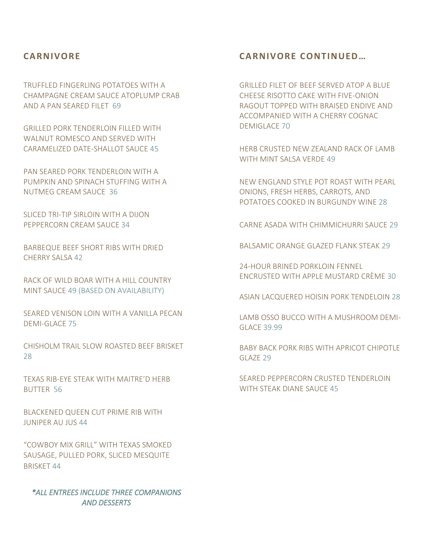# **CARNIVORE**

TRUFFLED FINGERLING POTATOES WITH A CHAMPAGNE CREAM SAUCE ATOPLUMP CRAB AND A PAN SEARED FILET 69

GRILLED PORK TENDERLOIN FILLED WITH WALNUT ROMESCO AND SERVED WITH CARAMELIZED DATE-SHALLOT SAUCE 45

PAN SEARED PORK TENDERLOIN WITH A PUMPKIN AND SPINACH STUFFING WITH A NUTMEG CREAM SAUCE 36

SLICED TRI-TIP SIRLOIN WITH A DIJON PEPPERCORN CREAM SAUCE 34

BARBEQUE BEEF SHORT RIBS WITH DRIED CHERRY SALSA 42

RACK OF WILD BOAR WITH A HILL COUNTRY MINT SAUCE 49 (BASED ON AVAILABILITY)

SEARED VENISON LOIN WITH A VANILLA PECAN DEMI-GLACE 75

CHISHOLM TRAIL SLOW ROASTED BEEF BRISKET 28

TEXAS RIB-EYE STEAK WITH MAITRE'D HERB BUTTER 56

BLACKENED QUEEN CUT PRIME RIB WITH JUNIPER AU JUS 44

"COWBOY MIX GRILL" WITH TEXAS SMOKED SAUSAGE, PULLED PORK, SLICED MESQUITE BRISKET 44

*\*ALL ENTREES INCLUDE THREE COMPANIONS AND DESSERTS* 

# **CARNIVORE CONTINUED …**

GRILLED FILET OF BEEF SERVED ATOP A BLUE CHEESE RISOTTO CAKE WITH FIVE-ONION RAGOUT TOPPED WITH BRAISED ENDIVE AND ACCOMPANIED WITH A CHERRY COGNAC DEMIGLACE 70

HERB CRUSTED NEW ZEALAND RACK OF LAMB WITH MINT SALSA VERDE 49

NEW ENGLAND STYLE POT ROAST WITH PEARL ONIONS, FRESH HERBS, CARROTS, AND POTATOES COOKED IN BURGUNDY WINE 28

CARNE ASADA WITH CHIMMICHURRI SAUCE 29

BALSAMIC ORANGE GLAZED FLANK STEAK 29

24-HOUR BRINED PORKLOIN FENNEL ENCRUSTED WITH APPLE MUSTARD CRÈME 30

ASIAN LACQUERED HOISIN PORK TENDELOIN 28

LAMB OSSO BUCCO WITH A MUSHROOM DEMI-GLACE 39.99

BABY BACK PORK RIBS WITH APRICOT CHIPOTLE GLAZE 29

SEARED PEPPERCORN CRUSTED TENDERLOIN WITH STEAK DIANE SAUCE 45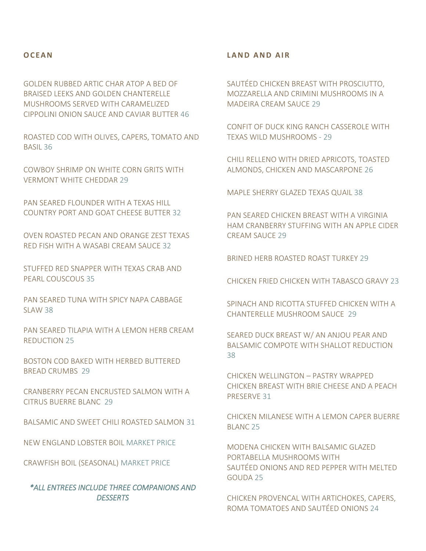#### **O C E A N**

GOLDEN RUBBED ARTIC CHAR ATOP A BED OF BRAISED LEEKS AND GOLDEN CHANTERELLE MUSHROOMS SERVED WITH CARAMELIZED CIPPOLINI ONION SAUCE AND CAVIAR BUTTER 46

ROASTED COD WITH OLIVES, CAPERS, TOMATO AND BASIL 36

COWBOY SHRIMP ON WHITE CORN GRITS WITH VERMONT WHITE CHEDDAR 29

PAN SEARED FLOUNDER WITH A TEXAS HILL COUNTRY PORT AND GOAT CHEESE BUTTER 32

OVEN ROASTED PECAN AND ORANGE ZEST TEXAS RED FISH WITH A WASABI CREAM SAUCE 32

STUFFED RED SNAPPER WITH TEXAS CRAB AND PEARL COUSCOUS 35

PAN SEARED TUNA WITH SPICY NAPA CABBAGE SLAW 38

PAN SEARED TILAPIA WITH A LEMON HERB CREAM REDUCTION 25

BOSTON COD BAKED WITH HERBED BUTTERED BREAD CRUMBS 29

CRANBERRY PECAN ENCRUSTED SALMON WITH A CITRUS BUERRE BLANC 29

BALSAMIC AND SWEET CHILI ROASTED SALMON 31

NEW ENGLAND LOBSTER BOIL MARKET PRICE

CRAWFISH BOIL (SEASONAL) MARKET PRICE

*\*ALL ENTREES INCLUDE THREE COMPANIONS AND DESSERTS* 

#### **L A N D A N D A I R**

SAUTÉED CHICKEN BREAST WITH PROSCIUTTO, MOZZARELLA AND CRIMINI MUSHROOMS IN A MADEIRA CREAM SAUCE 29

CONFIT OF DUCK KING RANCH CASSEROLE WITH TEXAS WILD MUSHROOMS - 29

CHILI RELLENO WITH DRIED APRICOTS, TOASTED ALMONDS, CHICKEN AND MASCARPONE 26

MAPLE SHERRY GLAZED TEXAS QUAIL 38

PAN SEARED CHICKEN BREAST WITH A VIRGINIA HAM CRANBERRY STUFFING WITH AN APPLE CIDER CREAM SAUCE 29

BRINED HERB ROASTED ROAST TURKEY 29

CHICKEN FRIED CHICKEN WITH TABASCO GRAVY 23

SPINACH AND RICOTTA STUFFED CHICKEN WITH A CHANTERELLE MUSHROOM SAUCE 29

SEARED DUCK BREAST W/ AN ANJOU PEAR AND BALSAMIC COMPOTE WITH SHALLOT REDUCTION 38

CHICKEN WELLINGTON – PASTRY WRAPPED CHICKEN BREAST WITH BRIE CHEESE AND A PEACH PRESERVE 31

CHICKEN MILANESE WITH A LEMON CAPER BUERRE BLANC 25

MODENA CHICKEN WITH BALSAMIC GLAZED PORTABELLA MUSHROOMS WITH SAUTÉED ONIONS AND RED PEPPER WITH MELTED GOUDA 25

CHICKEN PROVENCAL WITH ARTICHOKES, CAPERS, ROMA TOMATOES AND SAUTÉED ONIONS 24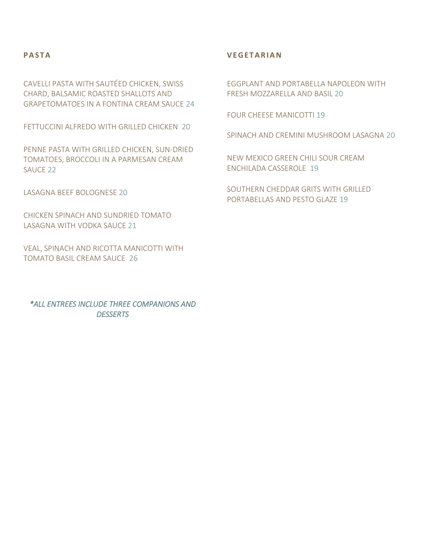## **P A S T A**

CAVELLI PASTA WITH SAUTÉED CHICKEN, SWISS CHARD, BALSAMIC ROASTED SHALLOTS AND GRAPETOMATOES IN A FONTINA CREAM SAUCE 24

FETTUCCINI ALFREDO WITH GRILLED CHICKEN 20

PENNE PASTA WITH GRILLED CHICKEN, SUN-DRIED TOMATOES, BROCCOLI IN A PARMESAN CREAM SAUCE 22

LASAGNA BEEF BOLOGNESE 20

CHICKEN SPINACH AND SUNDRIED TOMATO LASAGNA WITH VODKA SAUCE 21

VEAL, SPINACH AND RICOTTA MANICOTTI WITH TOMATO BASIL CREAM SAUCE 26

*\*ALL ENTREES INCLUDE THREE COMPANIONS AND DESSERTS* 

## **V E G E T A R I A N**

EGGPLANT AND PORTABELLA NAPOLEON WITH FRESH MOZZARELLA AND BASIL 20

FOUR CHEESE MANICOTTI 19

SPINACH AND CREMINI MUSHROOM LASAGNA 20

NEW MEXICO GREEN CHILI SOUR CREAM ENCHILADA CASSEROLE 19

SOUTHERN CHEDDAR GRITS WITH GRILLED PORTABELLAS AND PESTO GLAZE 19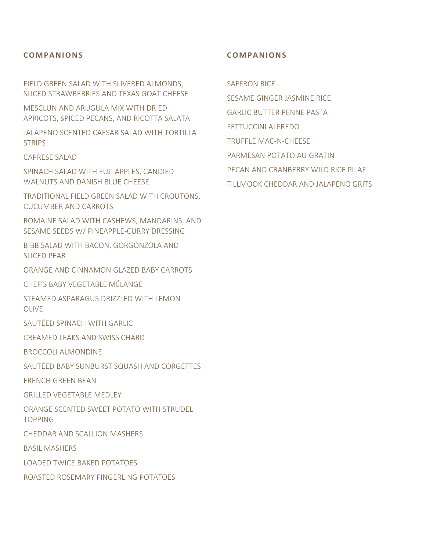#### **C O M P A N I O N S**

FIELD GREEN SALAD WITH SLIVERED ALMONDS, SLICED STRAWBERRIES AND TEXAS GOAT CHEESE

MESCLUN AND ARUGULA MIX WITH DRIED APRICOTS, SPICED PECANS, AND RICOTTA SALATA

JALAPENO SCENTED CAESAR SALAD WITH TORTILLA **STRIPS** 

CAPRESE SALAD

SPINACH SALAD WITH FUJI APPLES, CANDIED WALNUTS AND DANISH BLUE CHEESE

TRADITIONAL FIELD GREEN SALAD WITH CROUTONS, CUCUMBER AND CARROTS

ROMAINE SALAD WITH CASHEWS, MANDARINS, AND SESAME SEEDS W/ PINEAPPLE-CURRY DRESSING

BIBB SALAD WITH BACON, GORGONZOLA AND SLICED PEAR

ORANGE AND CINNAMON GLAZED BABY CARROTS

CHEF'S BABY VEGETABLE MÉLANGE

STEAMED ASPARAGUS DRIZZLED WITH LEMON OLIVE

SAUTÉED SPINACH WITH GARLIC

CREAMED LEAKS AND SWISS CHARD

BROCCOLI ALMONDINE

SAUTÉED BABY SUNBURST SQUASH AND CORGETTES

FRENCH GREEN BEAN

GRILLED VEGETABLE MEDLEY

ORANGE SCENTED SWEET POTATO WITH STRUDEL TOPPING

CHEDDAR AND SCALLION MASHERS

BASIL MASHERS

LOADED TWICE BAKED POTATOES

ROASTED ROSEMARY FINGERLING POTATOES

#### **C O M P A N I O N S**

SAFFRON RICE

SESAME GINGER JASMINE RICE GARLIC BUTTER PENNE PASTA FETTUCCINI ALFREDO TRUFFLE MAC-N-CHEESE PARMESAN POTATO AU GRATIN PECAN AND CRANBERRY WILD RICE PILAF TILLMOOK CHEDDAR AND JALAPENO GRITS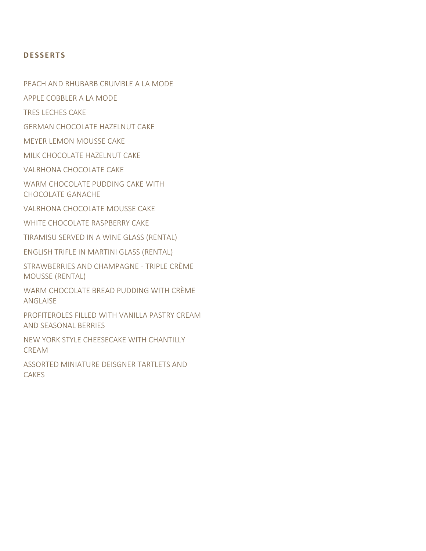## **D E S S E R T S**

PEACH AND RHUBARB CRUMBLE A LA MODE

APPLE COBBLER A LA MODE

TRES LECHES CAKE

GERMAN CHOCOLATE HAZELNUT CAKE

MEYER LEMON MOUSSE CAKE

MILK CHOCOLATE HAZELNUT CAKE

VALRHONA CHOCOLATE CAKE

WARM CHOCOLATE PUDDING CAKE WITH CHOCOLATE GANACHE

VALRHONA CHOCOLATE MOUSSE CAKE

WHITE CHOCOLATE RASPBERRY CAKE

TIRAMISU SERVED IN A WINE GLASS (RENTAL)

ENGLISH TRIFLE IN MARTINI GLASS (RENTAL)

STRAWBERRIES AND CHAMPAGNE - TRIPLE CRÈME MOUSSE (RENTAL)

WARM CHOCOLATE BREAD PUDDING WITH CRÈME ANGLAISE

PROFITEROLES FILLED WITH VANILLA PASTRY CREAM AND SEASONAL BERRIES

NEW YORK STYLE CHEESECAKE WITH CHANTILLY CREAM

ASSORTED MINIATURE DEISGNER TARTLETS AND CAKES